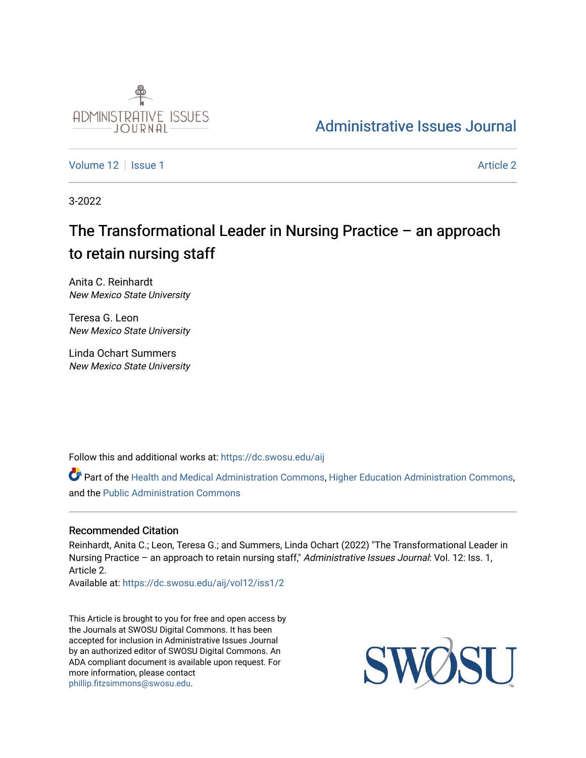

# [Administrative Issues Journal](https://dc.swosu.edu/aij)

[Volume 12](https://dc.swosu.edu/aij/vol12) | [Issue 1](https://dc.swosu.edu/aij/vol12/iss1) Article 2

3-2022

# The Transformational Leader in Nursing Practice – an approach to retain nursing staff

Anita C. Reinhardt New Mexico State University

Teresa G. Leon New Mexico State University

Linda Ochart Summers New Mexico State University

Follow this and additional works at: [https://dc.swosu.edu/aij](https://dc.swosu.edu/aij?utm_source=dc.swosu.edu%2Faij%2Fvol12%2Fiss1%2F2&utm_medium=PDF&utm_campaign=PDFCoverPages)

Part of the [Health and Medical Administration Commons](http://network.bepress.com/hgg/discipline/663?utm_source=dc.swosu.edu%2Faij%2Fvol12%2Fiss1%2F2&utm_medium=PDF&utm_campaign=PDFCoverPages), [Higher Education Administration Commons](http://network.bepress.com/hgg/discipline/791?utm_source=dc.swosu.edu%2Faij%2Fvol12%2Fiss1%2F2&utm_medium=PDF&utm_campaign=PDFCoverPages), and the [Public Administration Commons](http://network.bepress.com/hgg/discipline/398?utm_source=dc.swosu.edu%2Faij%2Fvol12%2Fiss1%2F2&utm_medium=PDF&utm_campaign=PDFCoverPages)

## Recommended Citation

Reinhardt, Anita C.; Leon, Teresa G.; and Summers, Linda Ochart (2022) "The Transformational Leader in Nursing Practice - an approach to retain nursing staff," Administrative Issues Journal: Vol. 12: Iss. 1, Article 2.

Available at: [https://dc.swosu.edu/aij/vol12/iss1/2](https://dc.swosu.edu/aij/vol12/iss1/2?utm_source=dc.swosu.edu%2Faij%2Fvol12%2Fiss1%2F2&utm_medium=PDF&utm_campaign=PDFCoverPages) 

This Article is brought to you for free and open access by the Journals at SWOSU Digital Commons. It has been accepted for inclusion in Administrative Issues Journal by an authorized editor of SWOSU Digital Commons. An ADA compliant document is available upon request. For more information, please contact [phillip.fitzsimmons@swosu.edu](mailto:phillip.fitzsimmons@swosu.edu).

**STT** SWO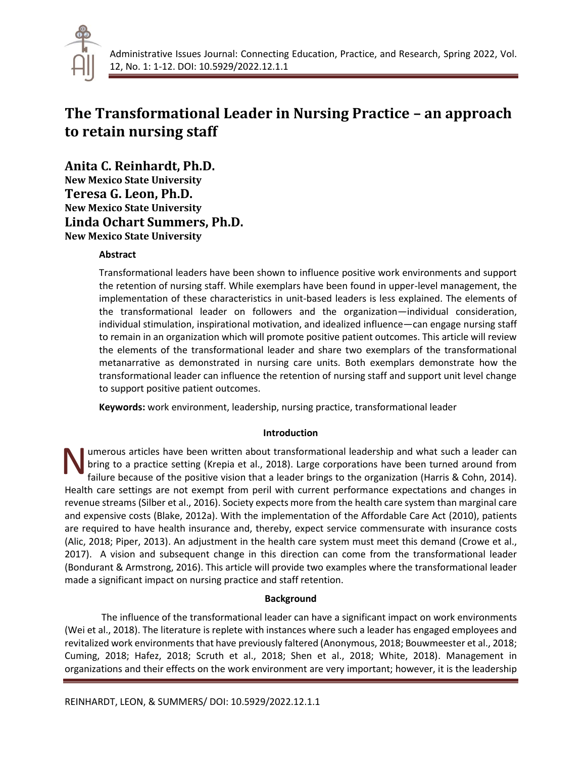

# **The Transformational Leader in Nursing Practice – an approach to retain nursing staff**

**Anita C. Reinhardt, Ph.D.**

**New Mexico State University Teresa G. Leon, Ph.D. New Mexico State University Linda Ochart Summers, Ph.D. New Mexico State University**

## **Abstract**

Transformational leaders have been shown to influence positive work environments and support the retention of nursing staff. While exemplars have been found in upper-level management, the implementation of these characteristics in unit-based leaders is less explained. The elements of the transformational leader on followers and the organization—individual consideration, individual stimulation, inspirational motivation, and idealized influence—can engage nursing staff to remain in an organization which will promote positive patient outcomes. This article will review the elements of the transformational leader and share two exemplars of the transformational metanarrative as demonstrated in nursing care units. Both exemplars demonstrate how the transformational leader can influence the retention of nursing staff and support unit level change to support positive patient outcomes.

**Keywords:** work environment, leadership, nursing practice, transformational leader

## **Introduction**

umerous articles have been written about transformational leadership and what such a leader can bring to a practice setting (Krepia et al., 2018). Large corporations have been turned around from failure because of the positive vision that a leader brings to the organization (Harris & Cohn, 2014). Health care settings are not exempt from peril with current performance expectations and changes in revenue streams (Silber et al., 2016). Society expects more from the health care system than marginal care and expensive costs (Blake, 2012a). With the implementation of the Affordable Care Act (2010), patients are required to have health insurance and, thereby, expect service commensurate with insurance costs (Alic, 2018; Piper, 2013). An adjustment in the health care system must meet this demand (Crowe et al., 2017). A vision and subsequent change in this direction can come from the transformational leader (Bondurant & Armstrong, 2016). This article will provide two examples where the transformational leader made a significant impact on nursing practice and staff retention. N

## **Background**

The influence of the transformational leader can have a significant impact on work environments (Wei et al., 2018). The literature is replete with instances where such a leader has engaged employees and revitalized work environments that have previously faltered (Anonymous, 2018; Bouwmeester et al., 2018; Cuming, 2018; Hafez, 2018; Scruth et al., 2018; Shen et al., 2018; White, 2018). Management in organizations and their effects on the work environment are very important; however, it is the leadership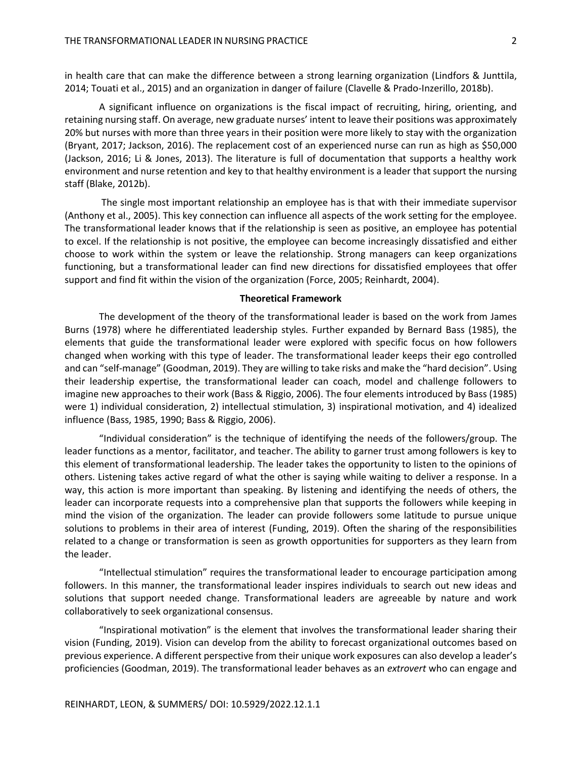in health care that can make the difference between a strong learning organization (Lindfors & Junttila, 2014; Touati et al., 2015) and an organization in danger of failure (Clavelle & Prado-Inzerillo, 2018b).

A significant influence on organizations is the fiscal impact of recruiting, hiring, orienting, and retaining nursing staff. On average, new graduate nurses' intent to leave their positions was approximately 20% but nurses with more than three years in their position were more likely to stay with the organization (Bryant, 2017; Jackson, 2016). The replacement cost of an experienced nurse can run as high as \$50,000 (Jackson, 2016; Li & Jones, 2013). The literature is full of documentation that supports a healthy work environment and nurse retention and key to that healthy environment is a leader that support the nursing staff (Blake, 2012b).

 The single most important relationship an employee has is that with their immediate supervisor (Anthony et al., 2005). This key connection can influence all aspects of the work setting for the employee. The transformational leader knows that if the relationship is seen as positive, an employee has potential to excel. If the relationship is not positive, the employee can become increasingly dissatisfied and either choose to work within the system or leave the relationship. Strong managers can keep organizations functioning, but a transformational leader can find new directions for dissatisfied employees that offer support and find fit within the vision of the organization (Force, 2005; Reinhardt, 2004).

#### **Theoretical Framework**

 The development of the theory of the transformational leader is based on the work from James Burns (1978) where he differentiated leadership styles. Further expanded by Bernard Bass (1985), the elements that guide the transformational leader were explored with specific focus on how followers changed when working with this type of leader. The transformational leader keeps their ego controlled and can "self-manage" (Goodman, 2019). They are willing to take risks and make the "hard decision". Using their leadership expertise, the transformational leader can coach, model and challenge followers to imagine new approaches to their work (Bass & Riggio, 2006). The four elements introduced by Bass (1985) were 1) individual consideration, 2) intellectual stimulation, 3) inspirational motivation, and 4) idealized influence (Bass, 1985, 1990; Bass & Riggio, 2006).

 "Individual consideration" is the technique of identifying the needs of the followers/group. The leader functions as a mentor, facilitator, and teacher. The ability to garner trust among followers is key to this element of transformational leadership. The leader takes the opportunity to listen to the opinions of others. Listening takes active regard of what the other is saying while waiting to deliver a response. In a way, this action is more important than speaking. By listening and identifying the needs of others, the leader can incorporate requests into a comprehensive plan that supports the followers while keeping in mind the vision of the organization. The leader can provide followers some latitude to pursue unique solutions to problems in their area of interest (Funding, 2019). Often the sharing of the responsibilities related to a change or transformation is seen as growth opportunities for supporters as they learn from the leader.

"Intellectual stimulation" requires the transformational leader to encourage participation among followers. In this manner, the transformational leader inspires individuals to search out new ideas and solutions that support needed change. Transformational leaders are agreeable by nature and work collaboratively to seek organizational consensus.

"Inspirational motivation" is the element that involves the transformational leader sharing their vision (Funding, 2019). Vision can develop from the ability to forecast organizational outcomes based on previous experience. A different perspective from their unique work exposures can also develop a leader's proficiencies (Goodman, 2019). The transformational leader behaves as an *extrovert* who can engage and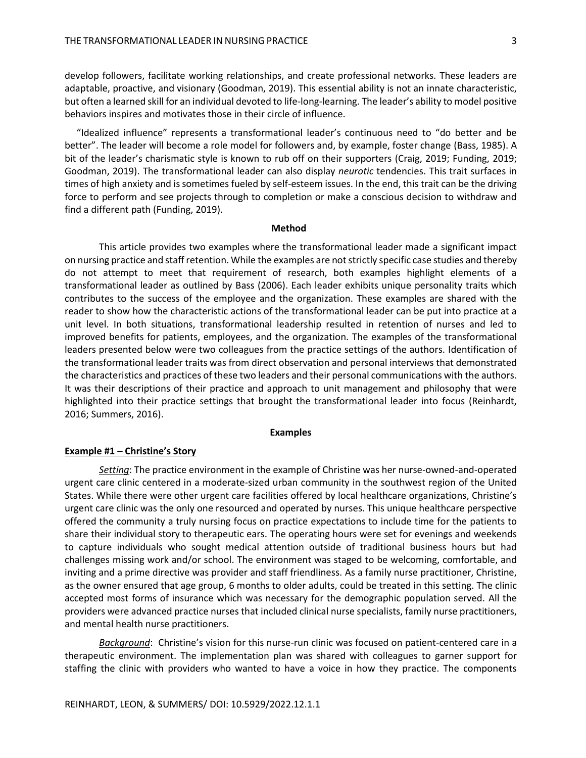develop followers, facilitate working relationships, and create professional networks. These leaders are adaptable, proactive, and visionary (Goodman, 2019). This essential ability is not an innate characteristic, but often a learned skill for an individual devoted to life-long-learning. The leader's ability to model positive behaviors inspires and motivates those in their circle of influence.

 "Idealized influence" represents a transformational leader's continuous need to "do better and be better". The leader will become a role model for followers and, by example, foster change (Bass, 1985). A bit of the leader's charismatic style is known to rub off on their supporters (Craig, 2019; Funding, 2019; Goodman, 2019). The transformational leader can also display *neurotic* tendencies. This trait surfaces in times of high anxiety and is sometimes fueled by self-esteem issues. In the end, this trait can be the driving force to perform and see projects through to completion or make a conscious decision to withdraw and find a different path (Funding, 2019).

### **Method**

This article provides two examples where the transformational leader made a significant impact on nursing practice and staff retention. While the examples are not strictly specific case studies and thereby do not attempt to meet that requirement of research, both examples highlight elements of a transformational leader as outlined by Bass (2006). Each leader exhibits unique personality traits which contributes to the success of the employee and the organization. These examples are shared with the reader to show how the characteristic actions of the transformational leader can be put into practice at a unit level. In both situations, transformational leadership resulted in retention of nurses and led to improved benefits for patients, employees, and the organization. The examples of the transformational leaders presented below were two colleagues from the practice settings of the authors. Identification of the transformational leader traits was from direct observation and personal interviews that demonstrated the characteristics and practices of these two leaders and their personal communications with the authors. It was their descriptions of their practice and approach to unit management and philosophy that were highlighted into their practice settings that brought the transformational leader into focus (Reinhardt, 2016; Summers, 2016).

#### **Examples**

### **Example #1 – Christine's Story**

*Setting*: The practice environment in the example of Christine was her nurse-owned-and-operated urgent care clinic centered in a moderate-sized urban community in the southwest region of the United States. While there were other urgent care facilities offered by local healthcare organizations, Christine's urgent care clinic was the only one resourced and operated by nurses. This unique healthcare perspective offered the community a truly nursing focus on practice expectations to include time for the patients to share their individual story to therapeutic ears. The operating hours were set for evenings and weekends to capture individuals who sought medical attention outside of traditional business hours but had challenges missing work and/or school. The environment was staged to be welcoming, comfortable, and inviting and a prime directive was provider and staff friendliness. As a family nurse practitioner, Christine, as the owner ensured that age group, 6 months to older adults, could be treated in this setting. The clinic accepted most forms of insurance which was necessary for the demographic population served. All the providers were advanced practice nurses that included clinical nurse specialists, family nurse practitioners, and mental health nurse practitioners.

*Background*: Christine's vision for this nurse-run clinic was focused on patient-centered care in a therapeutic environment. The implementation plan was shared with colleagues to garner support for staffing the clinic with providers who wanted to have a voice in how they practice. The components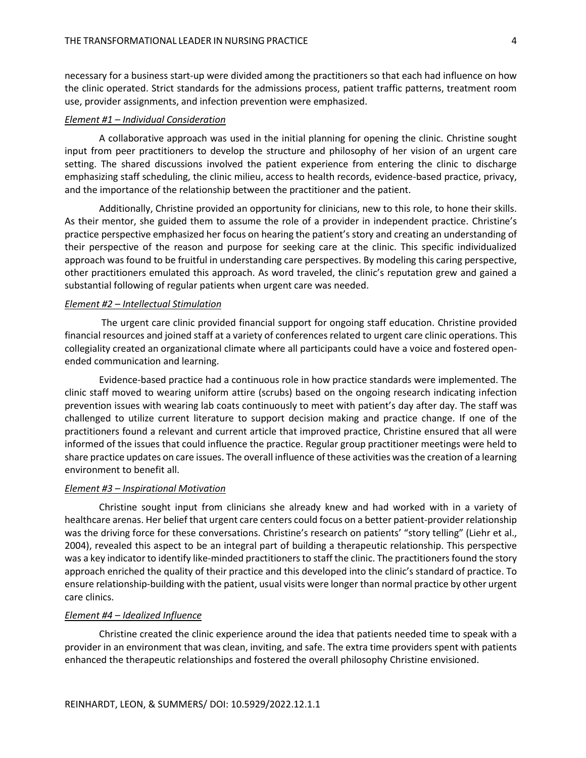necessary for a business start-up were divided among the practitioners so that each had influence on how the clinic operated. Strict standards for the admissions process, patient traffic patterns, treatment room use, provider assignments, and infection prevention were emphasized.

## *Element #1 – Individual Consideration*

 A collaborative approach was used in the initial planning for opening the clinic. Christine sought input from peer practitioners to develop the structure and philosophy of her vision of an urgent care setting. The shared discussions involved the patient experience from entering the clinic to discharge emphasizing staff scheduling, the clinic milieu, access to health records, evidence-based practice, privacy, and the importance of the relationship between the practitioner and the patient.

 Additionally, Christine provided an opportunity for clinicians, new to this role, to hone their skills. As their mentor, she guided them to assume the role of a provider in independent practice. Christine's practice perspective emphasized her focus on hearing the patient's story and creating an understanding of their perspective of the reason and purpose for seeking care at the clinic. This specific individualized approach was found to be fruitful in understanding care perspectives. By modeling this caring perspective, other practitioners emulated this approach. As word traveled, the clinic's reputation grew and gained a substantial following of regular patients when urgent care was needed.

#### *Element #2 – Intellectual Stimulation*

 The urgent care clinic provided financial support for ongoing staff education. Christine provided financial resources and joined staff at a variety of conferences related to urgent care clinic operations. This collegiality created an organizational climate where all participants could have a voice and fostered openended communication and learning.

 Evidence-based practice had a continuous role in how practice standards were implemented. The clinic staff moved to wearing uniform attire (scrubs) based on the ongoing research indicating infection prevention issues with wearing lab coats continuously to meet with patient's day after day. The staff was challenged to utilize current literature to support decision making and practice change. If one of the practitioners found a relevant and current article that improved practice, Christine ensured that all were informed of the issues that could influence the practice. Regular group practitioner meetings were held to share practice updates on care issues. The overall influence of these activities was the creation of a learning environment to benefit all.

## *Element #3 – Inspirational Motivation*

 Christine sought input from clinicians she already knew and had worked with in a variety of healthcare arenas. Her belief that urgent care centers could focus on a better patient-provider relationship was the driving force for these conversations. Christine's research on patients' "story telling" (Liehr et al., 2004), revealed this aspect to be an integral part of building a therapeutic relationship. This perspective was a key indicator to identify like-minded practitioners to staff the clinic. The practitioners found the story approach enriched the quality of their practice and this developed into the clinic's standard of practice. To ensure relationship-building with the patient, usual visits were longer than normal practice by other urgent care clinics.

## *Element #4 – Idealized Influence*

 Christine created the clinic experience around the idea that patients needed time to speak with a provider in an environment that was clean, inviting, and safe. The extra time providers spent with patients enhanced the therapeutic relationships and fostered the overall philosophy Christine envisioned.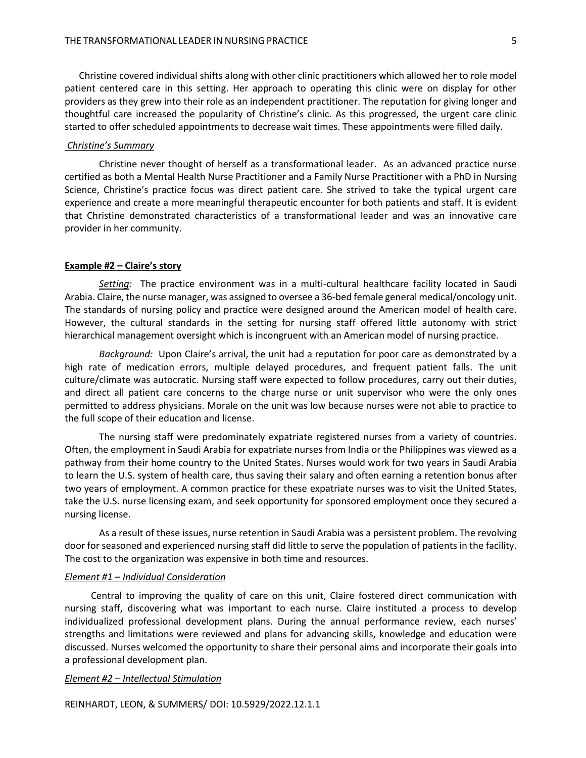Christine covered individual shifts along with other clinic practitioners which allowed her to role model patient centered care in this setting. Her approach to operating this clinic were on display for other providers as they grew into their role as an independent practitioner. The reputation for giving longer and thoughtful care increased the popularity of Christine's clinic. As this progressed, the urgent care clinic started to offer scheduled appointments to decrease wait times. These appointments were filled daily.

## *Christine's Summary*

Christine never thought of herself as a transformational leader. As an advanced practice nurse certified as both a Mental Health Nurse Practitioner and a Family Nurse Practitioner with a PhD in Nursing Science, Christine's practice focus was direct patient care. She strived to take the typical urgent care experience and create a more meaningful therapeutic encounter for both patients and staff. It is evident that Christine demonstrated characteristics of a transformational leader and was an innovative care provider in her community.

### **Example #2 – Claire's story**

*Setting:* The practice environment was in a multi-cultural healthcare facility located in Saudi Arabia. Claire, the nurse manager, was assigned to oversee a 36-bed female general medical/oncology unit. The standards of nursing policy and practice were designed around the American model of health care. However, the cultural standards in the setting for nursing staff offered little autonomy with strict hierarchical management oversight which is incongruent with an American model of nursing practice.

*Background:* Upon Claire's arrival, the unit had a reputation for poor care as demonstrated by a high rate of medication errors, multiple delayed procedures, and frequent patient falls. The unit culture/climate was autocratic. Nursing staff were expected to follow procedures, carry out their duties, and direct all patient care concerns to the charge nurse or unit supervisor who were the only ones permitted to address physicians. Morale on the unit was low because nurses were not able to practice to the full scope of their education and license.

The nursing staff were predominately expatriate registered nurses from a variety of countries. Often, the employment in Saudi Arabia for expatriate nurses from India or the Philippines was viewed as a pathway from their home country to the United States. Nurses would work for two years in Saudi Arabia to learn the U.S. system of health care, thus saving their salary and often earning a retention bonus after two years of employment. A common practice for these expatriate nurses was to visit the United States, take the U.S. nurse licensing exam, and seek opportunity for sponsored employment once they secured a nursing license.

As a result of these issues, nurse retention in Saudi Arabia was a persistent problem. The revolving door for seasoned and experienced nursing staff did little to serve the population of patients in the facility. The cost to the organization was expensive in both time and resources.

#### *Element #1 – Individual Consideration*

 Central to improving the quality of care on this unit, Claire fostered direct communication with nursing staff, discovering what was important to each nurse. Claire instituted a process to develop individualized professional development plans. During the annual performance review, each nurses' strengths and limitations were reviewed and plans for advancing skills, knowledge and education were discussed. Nurses welcomed the opportunity to share their personal aims and incorporate their goals into a professional development plan.

## *Element #2 – Intellectual Stimulation*

REINHARDT, LEON, & SUMMERS/ DOI: 10.5929/2022.12.1.1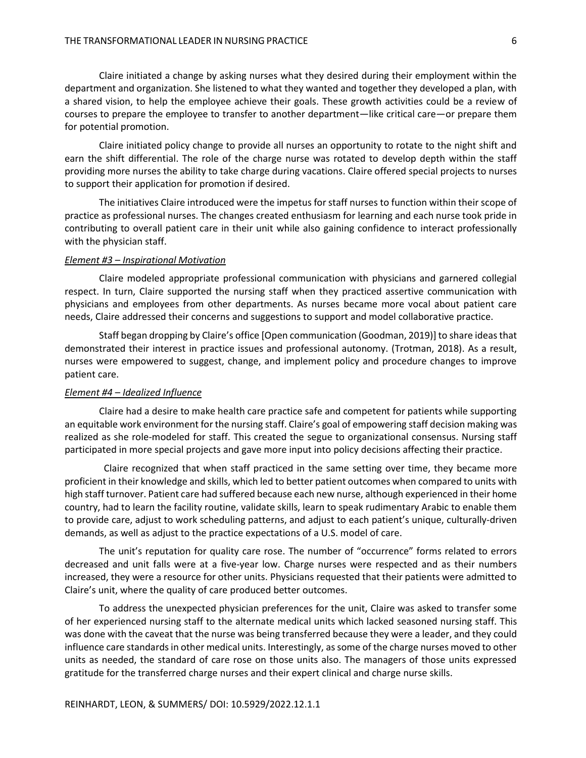Claire initiated a change by asking nurses what they desired during their employment within the department and organization. She listened to what they wanted and together they developed a plan, with a shared vision, to help the employee achieve their goals. These growth activities could be a review of courses to prepare the employee to transfer to another department—like critical care—or prepare them for potential promotion.

Claire initiated policy change to provide all nurses an opportunity to rotate to the night shift and earn the shift differential. The role of the charge nurse was rotated to develop depth within the staff providing more nurses the ability to take charge during vacations. Claire offered special projects to nurses to support their application for promotion if desired.

The initiatives Claire introduced were the impetus for staff nurses to function within their scope of practice as professional nurses. The changes created enthusiasm for learning and each nurse took pride in contributing to overall patient care in their unit while also gaining confidence to interact professionally with the physician staff.

#### *Element #3 – Inspirational Motivation*

Claire modeled appropriate professional communication with physicians and garnered collegial respect. In turn, Claire supported the nursing staff when they practiced assertive communication with physicians and employees from other departments. As nurses became more vocal about patient care needs, Claire addressed their concerns and suggestions to support and model collaborative practice.

Staff began dropping by Claire's office [Open communication (Goodman, 2019)] to share ideas that demonstrated their interest in practice issues and professional autonomy. (Trotman, 2018). As a result, nurses were empowered to suggest, change, and implement policy and procedure changes to improve patient care.

## *Element #4 – Idealized Influence*

Claire had a desire to make health care practice safe and competent for patients while supporting an equitable work environment for the nursing staff. Claire's goal of empowering staff decision making was realized as she role-modeled for staff. This created the segue to organizational consensus. Nursing staff participated in more special projects and gave more input into policy decisions affecting their practice.

 Claire recognized that when staff practiced in the same setting over time, they became more proficient in their knowledge and skills, which led to better patient outcomes when compared to units with high staff turnover. Patient care had suffered because each new nurse, although experienced in their home country, had to learn the facility routine, validate skills, learn to speak rudimentary Arabic to enable them to provide care, adjust to work scheduling patterns, and adjust to each patient's unique, culturally-driven demands, as well as adjust to the practice expectations of a U.S. model of care.

The unit's reputation for quality care rose. The number of "occurrence" forms related to errors decreased and unit falls were at a five-year low. Charge nurses were respected and as their numbers increased, they were a resource for other units. Physicians requested that their patients were admitted to Claire's unit, where the quality of care produced better outcomes.

To address the unexpected physician preferences for the unit, Claire was asked to transfer some of her experienced nursing staff to the alternate medical units which lacked seasoned nursing staff. This was done with the caveat that the nurse was being transferred because they were a leader, and they could influence care standards in other medical units. Interestingly, as some of the charge nurses moved to other units as needed, the standard of care rose on those units also. The managers of those units expressed gratitude for the transferred charge nurses and their expert clinical and charge nurse skills.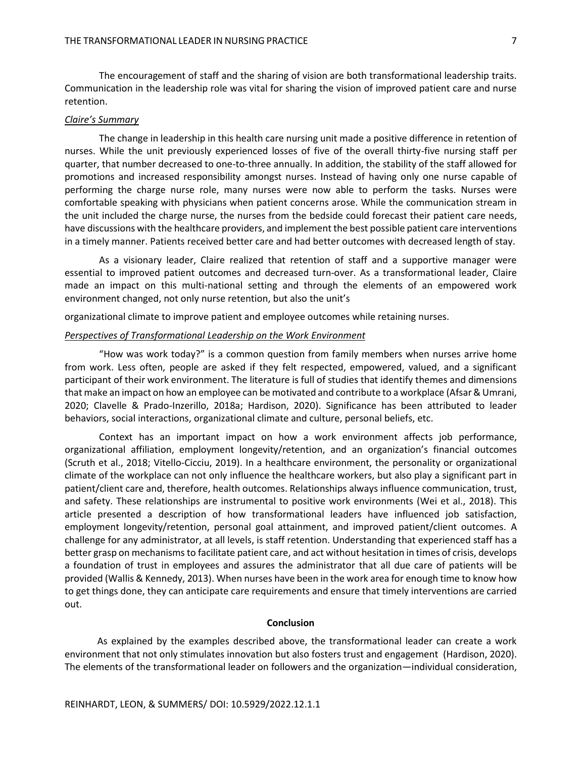The encouragement of staff and the sharing of vision are both transformational leadership traits. Communication in the leadership role was vital for sharing the vision of improved patient care and nurse retention.

## *Claire's Summary*

The change in leadership in this health care nursing unit made a positive difference in retention of nurses. While the unit previously experienced losses of five of the overall thirty-five nursing staff per quarter, that number decreased to one-to-three annually. In addition, the stability of the staff allowed for promotions and increased responsibility amongst nurses. Instead of having only one nurse capable of performing the charge nurse role, many nurses were now able to perform the tasks. Nurses were comfortable speaking with physicians when patient concerns arose. While the communication stream in the unit included the charge nurse, the nurses from the bedside could forecast their patient care needs, have discussions with the healthcare providers, and implement the best possible patient care interventions in a timely manner. Patients received better care and had better outcomes with decreased length of stay.

As a visionary leader, Claire realized that retention of staff and a supportive manager were essential to improved patient outcomes and decreased turn-over. As a transformational leader, Claire made an impact on this multi-national setting and through the elements of an empowered work environment changed, not only nurse retention, but also the unit's

organizational climate to improve patient and employee outcomes while retaining nurses.

#### *Perspectives of Transformational Leadership on the Work Environment*

"How was work today?" is a common question from family members when nurses arrive home from work. Less often, people are asked if they felt respected, empowered, valued, and a significant participant of their work environment. The literature is full of studies that identify themes and dimensions that make an impact on how an employee can be motivated and contribute to a workplace (Afsar & Umrani, 2020; Clavelle & Prado-Inzerillo, 2018a; Hardison, 2020). Significance has been attributed to leader behaviors, social interactions, organizational climate and culture, personal beliefs, etc.

Context has an important impact on how a work environment affects job performance, organizational affiliation, employment longevity/retention, and an organization's financial outcomes (Scruth et al., 2018; Vitello-Cicciu, 2019). In a healthcare environment, the personality or organizational climate of the workplace can not only influence the healthcare workers, but also play a significant part in patient/client care and, therefore, health outcomes. Relationships always influence communication, trust, and safety. These relationships are instrumental to positive work environments (Wei et al., 2018). This article presented a description of how transformational leaders have influenced job satisfaction, employment longevity/retention, personal goal attainment, and improved patient/client outcomes. A challenge for any administrator, at all levels, is staff retention. Understanding that experienced staff has a better grasp on mechanisms to facilitate patient care, and act without hesitation in times of crisis, develops a foundation of trust in employees and assures the administrator that all due care of patients will be provided (Wallis & Kennedy, 2013). When nurses have been in the work area for enough time to know how to get things done, they can anticipate care requirements and ensure that timely interventions are carried out.

## **Conclusion**

As explained by the examples described above, the transformational leader can create a work environment that not only stimulates innovation but also fosters trust and engagement (Hardison, 2020). The elements of the transformational leader on followers and the organization—individual consideration,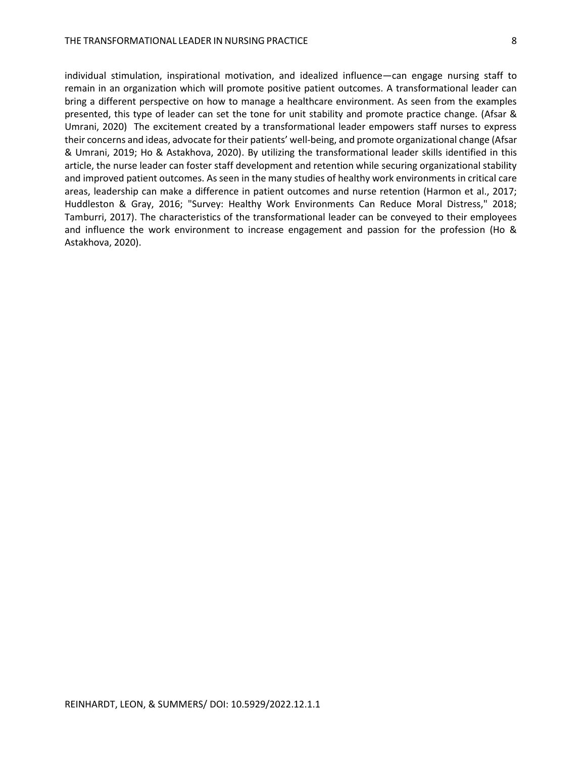individual stimulation, inspirational motivation, and idealized influence—can engage nursing staff to remain in an organization which will promote positive patient outcomes. A transformational leader can bring a different perspective on how to manage a healthcare environment. As seen from the examples presented, this type of leader can set the tone for unit stability and promote practice change. (Afsar & Umrani, 2020) The excitement created by a transformational leader empowers staff nurses to express their concerns and ideas, advocate for their patients' well-being, and promote organizational change (Afsar & Umrani, 2019; Ho & Astakhova, 2020). By utilizing the transformational leader skills identified in this article, the nurse leader can foster staff development and retention while securing organizational stability and improved patient outcomes. As seen in the many studies of healthy work environments in critical care areas, leadership can make a difference in patient outcomes and nurse retention (Harmon et al., 2017; Huddleston & Gray, 2016; "Survey: Healthy Work Environments Can Reduce Moral Distress," 2018; Tamburri, 2017). The characteristics of the transformational leader can be conveyed to their employees and influence the work environment to increase engagement and passion for the profession (Ho & Astakhova, 2020).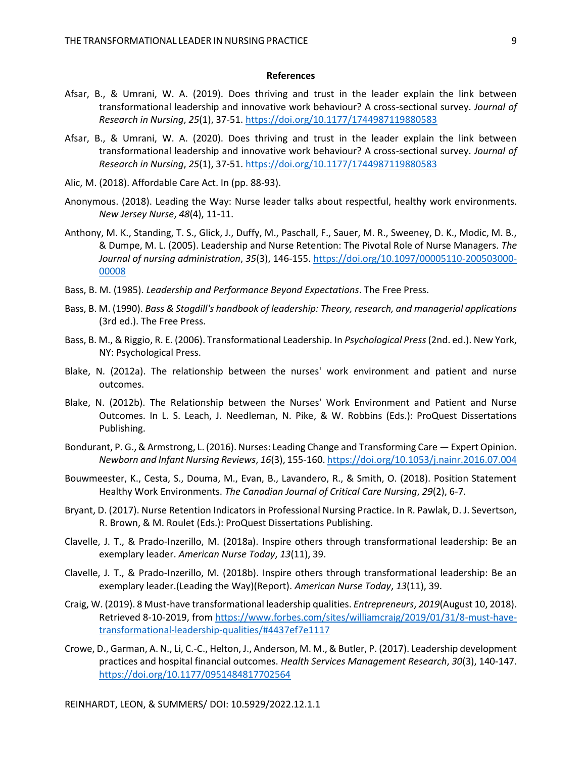#### **References**

- Afsar, B., & Umrani, W. A. (2019). Does thriving and trust in the leader explain the link between transformational leadership and innovative work behaviour? A cross-sectional survey. *Journal of Research in Nursing*, *25*(1), 37-51[. https://doi.org/10.1177/1744987119880583](https://doi.org/10.1177/1744987119880583)
- Afsar, B., & Umrani, W. A. (2020). Does thriving and trust in the leader explain the link between transformational leadership and innovative work behaviour? A cross-sectional survey. *Journal of Research in Nursing*, *25*(1), 37-51[. https://doi.org/10.1177/1744987119880583](https://doi.org/10.1177/1744987119880583)
- Alic, M. (2018). Affordable Care Act. In (pp. 88-93).
- Anonymous. (2018). Leading the Way: Nurse leader talks about respectful, healthy work environments. *New Jersey Nurse*, *48*(4), 11-11.
- Anthony, M. K., Standing, T. S., Glick, J., Duffy, M., Paschall, F., Sauer, M. R., Sweeney, D. K., Modic, M. B., & Dumpe, M. L. (2005). Leadership and Nurse Retention: The Pivotal Role of Nurse Managers. *The Journal of nursing administration*, *35*(3), 146-155[. https://doi.org/10.1097/00005110-200503000-](https://doi.org/10.1097/00005110-200503000-00008) [00008](https://doi.org/10.1097/00005110-200503000-00008)
- Bass, B. M. (1985). *Leadership and Performance Beyond Expectations*. The Free Press.
- Bass, B. M. (1990). *Bass & Stogdill's handbook of leadership: Theory, research, and managerial applications* (3rd ed.). The Free Press.
- Bass, B. M., & Riggio, R. E. (2006). Transformational Leadership. In *Psychological Press*(2nd. ed.). New York, NY: Psychological Press.
- Blake, N. (2012a). The relationship between the nurses' work environment and patient and nurse outcomes.
- Blake, N. (2012b). The Relationship between the Nurses' Work Environment and Patient and Nurse Outcomes. In L. S. Leach, J. Needleman, N. Pike, & W. Robbins (Eds.): ProQuest Dissertations Publishing.
- Bondurant, P. G., & Armstrong, L. (2016). Nurses: Leading Change and Transforming Care Expert Opinion. *Newborn and Infant Nursing Reviews*, *16*(3), 155-160[. https://doi.org/10.1053/j.nainr.2016.07.004](https://doi.org/10.1053/j.nainr.2016.07.004)
- Bouwmeester, K., Cesta, S., Douma, M., Evan, B., Lavandero, R., & Smith, O. (2018). Position Statement Healthy Work Environments. *The Canadian Journal of Critical Care Nursing*, *29*(2), 6-7.
- Bryant, D. (2017). Nurse Retention Indicators in Professional Nursing Practice. In R. Pawlak, D. J. Severtson, R. Brown, & M. Roulet (Eds.): ProQuest Dissertations Publishing.
- Clavelle, J. T., & Prado-Inzerillo, M. (2018a). Inspire others through transformational leadership: Be an exemplary leader. *American Nurse Today*, *13*(11), 39.
- Clavelle, J. T., & Prado-Inzerillo, M. (2018b). Inspire others through transformational leadership: Be an exemplary leader.(Leading the Way)(Report). *American Nurse Today*, *13*(11), 39.
- Craig, W. (2019). 8 Must-have transformational leadership qualities. *Entrepreneurs*, *2019*(August 10, 2018). Retrieved 8-10-2019, from [https://www.forbes.com/sites/williamcraig/2019/01/31/8-must-have](https://www.forbes.com/sites/williamcraig/2019/01/31/8-must-have-transformational-leadership-qualities/#4437ef7e1117)[transformational-leadership-qualities/#4437ef7e1117](https://www.forbes.com/sites/williamcraig/2019/01/31/8-must-have-transformational-leadership-qualities/#4437ef7e1117)
- Crowe, D., Garman, A. N., Li, C.-C., Helton, J., Anderson, M. M., & Butler, P. (2017). Leadership development practices and hospital financial outcomes. *Health Services Management Research*, *30*(3), 140-147. <https://doi.org/10.1177/0951484817702564>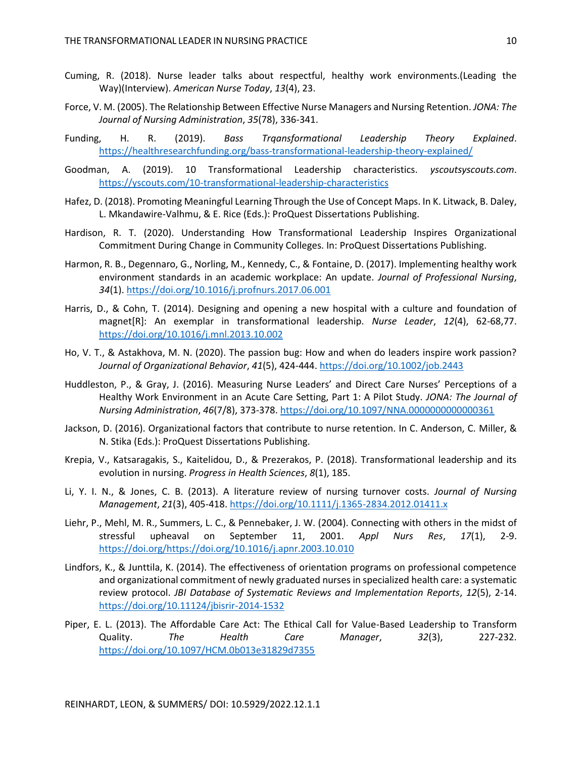- Cuming, R. (2018). Nurse leader talks about respectful, healthy work environments.(Leading the Way)(Interview). *American Nurse Today*, *13*(4), 23.
- Force, V. M. (2005). The Relationship Between Effective Nurse Managers and Nursing Retention. *JONA: The Journal of Nursing Administration*, *35*(78), 336-341.
- Funding, H. R. (2019). *Bass Trqansformational Leadership Theory Explained*. <https://healthresearchfunding.org/bass-transformational-leadership-theory-explained/>
- Goodman, A. (2019). 10 Transformational Leadership characteristics. *yscoutsyscouts.com*. <https://yscouts.com/10-transformational-leadership-characteristics>
- Hafez, D. (2018). Promoting Meaningful Learning Through the Use of Concept Maps. In K. Litwack, B. Daley, L. Mkandawire-Valhmu, & E. Rice (Eds.): ProQuest Dissertations Publishing.
- Hardison, R. T. (2020). Understanding How Transformational Leadership Inspires Organizational Commitment During Change in Community Colleges. In: ProQuest Dissertations Publishing.
- Harmon, R. B., Degennaro, G., Norling, M., Kennedy, C., & Fontaine, D. (2017). Implementing healthy work environment standards in an academic workplace: An update. *Journal of Professional Nursing*, *34*(1).<https://doi.org/10.1016/j.profnurs.2017.06.001>
- Harris, D., & Cohn, T. (2014). Designing and opening a new hospital with a culture and foundation of magnet[R]: An exemplar in transformational leadership. *Nurse Leader*, *12*(4), 62-68,77. <https://doi.org/10.1016/j.mnl.2013.10.002>
- Ho, V. T., & Astakhova, M. N. (2020). The passion bug: How and when do leaders inspire work passion? *Journal of Organizational Behavior*, *41*(5), 424-444.<https://doi.org/10.1002/job.2443>
- Huddleston, P., & Gray, J. (2016). Measuring Nurse Leaders' and Direct Care Nurses' Perceptions of a Healthy Work Environment in an Acute Care Setting, Part 1: A Pilot Study. *JONA: The Journal of Nursing Administration*, *46*(7/8), 373-378[. https://doi.org/10.1097/NNA.0000000000000361](https://doi.org/10.1097/NNA.0000000000000361)
- Jackson, D. (2016). Organizational factors that contribute to nurse retention. In C. Anderson, C. Miller, & N. Stika (Eds.): ProQuest Dissertations Publishing.
- Krepia, V., Katsaragakis, S., Kaitelidou, D., & Prezerakos, P. (2018). Transformational leadership and its evolution in nursing. *Progress in Health Sciences*, *8*(1), 185.
- Li, Y. I. N., & Jones, C. B. (2013). A literature review of nursing turnover costs. *Journal of Nursing Management*, *21*(3), 405-418.<https://doi.org/10.1111/j.1365-2834.2012.01411.x>
- Liehr, P., Mehl, M. R., Summers, L. C., & Pennebaker, J. W. (2004). Connecting with others in the midst of stressful upheaval on September 11, 2001. *Appl Nurs Res*, *17*(1), 2-9. [https://doi.org/https://doi.org/10.1016/j.apnr.2003.10.010](https://doi.org/https:/doi.org/10.1016/j.apnr.2003.10.010)
- Lindfors, K., & Junttila, K. (2014). The effectiveness of orientation programs on professional competence and organizational commitment of newly graduated nurses in specialized health care: a systematic review protocol. *JBI Database of Systematic Reviews and Implementation Reports*, *12*(5), 2-14. <https://doi.org/10.11124/jbisrir-2014-1532>
- Piper, E. L. (2013). The Affordable Care Act: The Ethical Call for Value-Based Leadership to Transform Quality. *The Health Care Manager*, *32*(3), 227-232. <https://doi.org/10.1097/HCM.0b013e31829d7355>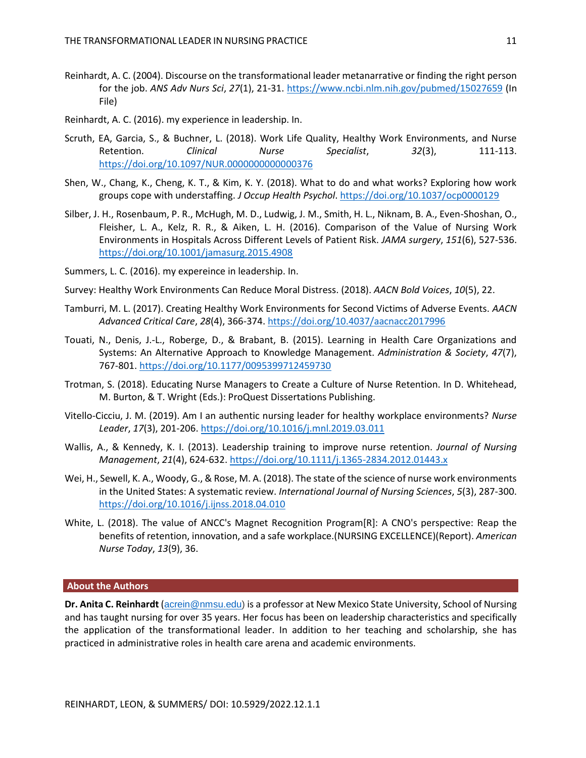- Reinhardt, A. C. (2004). Discourse on the transformational leader metanarrative or finding the right person for the job. *ANS Adv Nurs Sci*, *27*(1), 21-31[. https://www.ncbi.nlm.nih.gov/pubmed/15027659](https://www.ncbi.nlm.nih.gov/pubmed/15027659) (In File)
- Reinhardt, A. C. (2016). my experience in leadership. In.
- Scruth, EA, Garcia, S., & Buchner, L. (2018). Work Life Quality, Healthy Work Environments, and Nurse Retention. *Clinical Nurse Specialist*, *32*(3), 111-113. <https://doi.org/10.1097/NUR.0000000000000376>
- Shen, W., Chang, K., Cheng, K. T., & Kim, K. Y. (2018). What to do and what works? Exploring how work groups cope with understaffing. *J Occup Health Psychol*[. https://doi.org/10.1037/ocp0000129](https://doi.org/10.1037/ocp0000129)
- Silber, J. H., Rosenbaum, P. R., McHugh, M. D., Ludwig, J. M., Smith, H. L., Niknam, B. A., Even-Shoshan, O., Fleisher, L. A., Kelz, R. R., & Aiken, L. H. (2016). Comparison of the Value of Nursing Work Environments in Hospitals Across Different Levels of Patient Risk. *JAMA surgery*, *151*(6), 527-536. <https://doi.org/10.1001/jamasurg.2015.4908>
- Summers, L. C. (2016). my expereince in leadership. In.
- Survey: Healthy Work Environments Can Reduce Moral Distress. (2018). *AACN Bold Voices*, *10*(5), 22.
- Tamburri, M. L. (2017). Creating Healthy Work Environments for Second Victims of Adverse Events. *AACN Advanced Critical Care*, *28*(4), 366-374[. https://doi.org/10.4037/aacnacc2017996](https://doi.org/10.4037/aacnacc2017996)
- Touati, N., Denis, J.-L., Roberge, D., & Brabant, B. (2015). Learning in Health Care Organizations and Systems: An Alternative Approach to Knowledge Management. *Administration & Society*, *47*(7), 767-801[. https://doi.org/10.1177/0095399712459730](https://doi.org/10.1177/0095399712459730)
- Trotman, S. (2018). Educating Nurse Managers to Create a Culture of Nurse Retention. In D. Whitehead, M. Burton, & T. Wright (Eds.): ProQuest Dissertations Publishing.
- Vitello-Cicciu, J. M. (2019). Am I an authentic nursing leader for healthy workplace environments? *Nurse Leader*, *17*(3), 201-206[. https://doi.org/10.1016/j.mnl.2019.03.011](https://doi.org/10.1016/j.mnl.2019.03.011)
- Wallis, A., & Kennedy, K. I. (2013). Leadership training to improve nurse retention. *Journal of Nursing Management*, *21*(4), 624-632.<https://doi.org/10.1111/j.1365-2834.2012.01443.x>
- Wei, H., Sewell, K. A., Woody, G., & Rose, M. A. (2018). The state of the science of nurse work environments in the United States: A systematic review. *International Journal of Nursing Sciences*, *5*(3), 287-300. <https://doi.org/10.1016/j.ijnss.2018.04.010>
- White, L. (2018). The value of ANCC's Magnet Recognition Program[R]: A CNO's perspective: Reap the benefits of retention, innovation, and a safe workplace.(NURSING EXCELLENCE)(Report). *American Nurse Today*, *13*(9), 36.

#### **About the Authors**

**Dr. Anita C. Reinhardt** ([acrein@nmsu.edu\)](mailto:acrein@nmsu.edu) is a professor at New Mexico State University, School of Nursing and has taught nursing for over 35 years. Her focus has been on leadership characteristics and specifically the application of the transformational leader. In addition to her teaching and scholarship, she has practiced in administrative roles in health care arena and academic environments.